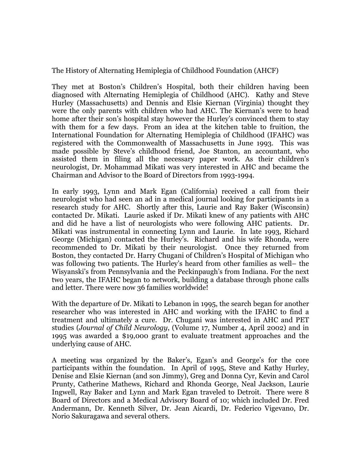The History of Alternating Hemiplegia of Childhood Foundation (AHCF)

They met at Boston's Children's Hospital, both their children having been diagnosed with Alternating Hemiplegia of Childhood (AHC). Kathy and Steve Hurley (Massachusetts) and Dennis and Elsie Kiernan (Virginia) thought they were the only parents with children who had AHC. The Kiernan's were to head home after their son's hospital stay however the Hurley's convinced them to stay with them for a few days. From an idea at the kitchen table to fruition, the International Foundation for Alternating Hemiplegia of Childhood (IFAHC) was registered with the Commonwealth of Massachusetts in June 1993. This was made possible by Steve's childhood friend, Joe Stanton, an accountant, who assisted them in filing all the necessary paper work. As their children's neurologist, Dr. Mohammad Mikati was very interested in AHC and became the Chairman and Advisor to the Board of Directors from 1993-1994.

In early 1993, Lynn and Mark Egan (California) received a call from their neurologist who had seen an ad in a medical journal looking for participants in a research study for AHC. Shortly after this, Laurie and Ray Baker (Wisconsin) contacted Dr. Mikati. Laurie asked if Dr. Mikati knew of any patients with AHC and did he have a list of neurologists who were following AHC patients. Dr. Mikati was instrumental in connecting Lynn and Laurie. In late 1993, Richard George (Michigan) contacted the Hurley's. Richard and his wife Rhonda, were recommended to Dr. Mikati by their neurologist. Once they returned from Boston, they contacted Dr. Harry Chugani of Children's Hospital of Michigan who was following two patients. The Hurley's heard from other families as well– the Wisyanski's from Pennsylvania and the Peckinpaugh's from Indiana. For the next two years, the IFAHC began to network, building a database through phone calls and letter. There were now 36 families worldwide!

With the departure of Dr. Mikati to Lebanon in 1995, the search began for another researcher who was interested in AHC and working with the IFAHC to find a treatment and ultimately a cure. Dr. Chugani was interested in AHC and PET studies (*Journal of Child Neurology*, (Volume 17, Number 4, April 2002) and in 1995 was awarded a \$19,000 grant to evaluate treatment approaches and the underlying cause of AHC.

A meeting was organized by the Baker's, Egan's and George's for the core participants within the foundation. In April of 1995, Steve and Kathy Hurley, Denise and Elsie Kiernan (and son Jimmy), Greg and Donna Cyr, Kevin and Carol Prunty, Catherine Mathews, Richard and Rhonda George, Neal Jackson, Laurie Ingwell, Ray Baker and Lynn and Mark Egan traveled to Detroit. There were 8 Board of Directors and a Medical Advisory Board of 10; which included Dr. Fred Andermann, Dr. Kenneth Silver, Dr. Jean Aicardi, Dr. Federico Vigevano, Dr. Norio Sakuragawa and several others.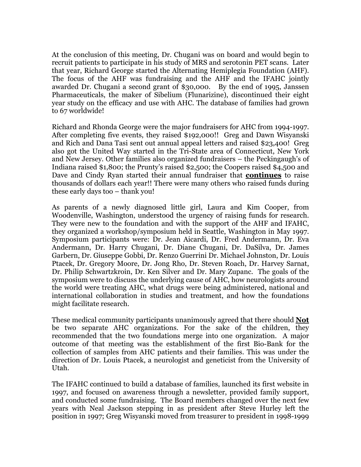At the conclusion of this meeting, Dr. Chugani was on board and would begin to recruit patients to participate in his study of MRS and serotonin PET scans. Later that year, Richard George started the Alternating Hemiplegia Foundation (AHF). The focus of the AHF was fundraising and the AHF and the IFAHC jointly awarded Dr. Chugani a second grant of \$30,000. By the end of 1995, Janssen Pharmaceuticals, the maker of Sibelium (Flunarizine), discontinued their eight year study on the efficacy and use with AHC. The database of families had grown to 67 worldwide!

Richard and Rhonda George were the major fundraisers for AHC from 1994-1997. After completing five events, they raised \$192,000!! Greg and Dawn Wisyanski and Rich and Dana Tasi sent out annual appeal letters and raised \$23,400! Greg also got the United Way started in the Tri-State area of Connecticut, New York and New Jersey. Other families also organized fundraisers – the Peckingaugh's of Indiana raised \$1,800; the Prunty's raised \$2,500; the Coopers raised \$4,500 and Dave and Cindy Ryan started their annual fundraiser that **continues** to raise thousands of dollars each year!! There were many others who raised funds during these early days too – thank you!

As parents of a newly diagnosed little girl, Laura and Kim Cooper, from Woodenville, Washington, understood the urgency of raising funds for research. They were new to the foundation and with the support of the AHF and IFAHC, they organized a workshop/symposium held in Seattle, Washington in May 1997. Symposium participants were: Dr. Jean Aicardi, Dr. Fred Andermann, Dr. Eva Andermann, Dr. Harry Chugani, Dr. Diane Chugani, Dr. DaSilva, Dr. James Garbern, Dr. Giuseppe Gobbi, Dr. Renzo Guerrini Dr. Michael Johnston, Dr. Louis Ptacek, Dr. Gregory Moore, Dr. Jong Rho, Dr. Steven Roach, Dr. Harvey Sarnat, Dr. Philip Schwartzkroin, Dr. Ken Silver and Dr. Mary Zupanc. The goals of the symposium were to discuss the underlying cause of AHC, how neurologists around the world were treating AHC, what drugs were being administered, national and international collaboration in studies and treatment, and how the foundations might facilitate research.

These medical community participants unanimously agreed that there should **Not** be two separate AHC organizations. For the sake of the children, they recommended that the two foundations merge into one organization. A major outcome of that meeting was the establishment of the first Bio-Bank for the collection of samples from AHC patients and their families. This was under the direction of Dr. Louis Ptacek, a neurologist and geneticist from the University of Utah.

The IFAHC continued to build a database of families, launched its first website in 1997, and focused on awareness through a newsletter, provided family support, and conducted some fundraising. The Board members changed over the next few years with Neal Jackson stepping in as president after Steve Hurley left the position in 1997; Greg Wisyanski moved from treasurer to president in 1998-1999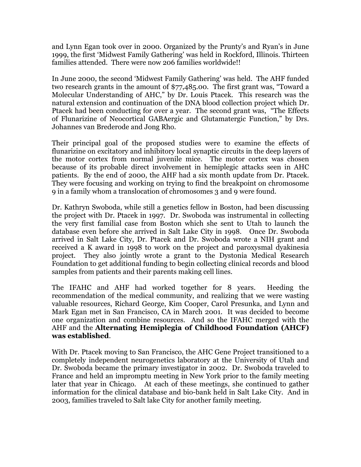and Lynn Egan took over in 2000. Organized by the Prunty's and Ryan's in June 1999, the first 'Midwest Family Gathering' was held in Rockford, Illinois. Thirteen families attended. There were now 206 families worldwide!!

In June 2000, the second 'Midwest Family Gathering' was held. The AHF funded two research grants in the amount of \$77,485.00. The first grant was, "Toward a Molecular Understanding of AHC," by Dr. Louis Ptacek. This research was the natural extension and continuation of the DNA blood collection project which Dr. Ptacek had been conducting for over a year. The second grant was, "The Effects of Flunarizine of Neocortical GABAergic and Glutamatergic Function," by Drs. Johannes van Brederode and Jong Rho.

Their principal goal of the proposed studies were to examine the effects of flunarizine on excitatory and inhibitory local synaptic circuits in the deep layers of the motor cortex from normal juvenile mice. The motor cortex was chosen because of its probable direct involvement in hemiplegic attacks seen in AHC patients. By the end of 2000, the AHF had a six month update from Dr. Ptacek. They were focusing and working on trying to find the breakpoint on chromosome 9 in a family whom a translocation of chromosomes 3 and 9 were found.

Dr. Kathryn Swoboda, while still a genetics fellow in Boston, had been discussing the project with Dr. Ptacek in 1997. Dr. Swoboda was instrumental in collecting the very first familial case from Boston which she sent to Utah to launch the database even before she arrived in Salt Lake City in 1998. Once Dr. Swoboda arrived in Salt Lake City, Dr. Ptacek and Dr. Swoboda wrote a NIH grant and received a K award in 1998 to work on the project and paroxysmal dyakinesia project. They also jointly wrote a grant to the Dystonia Medical Research Foundation to get additional funding to begin collecting clinical records and blood samples from patients and their parents making cell lines.

The IFAHC and AHF had worked together for 8 years. Heeding the recommendation of the medical community, and realizing that we were wasting valuable resources, Richard George, Kim Cooper, Carol Presunka, and Lynn and Mark Egan met in San Francisco, CA in March 2001. It was decided to become one organization and combine resources. And so the IFAHC merged with the AHF and the **Alternating Hemiplegia of Childhood Foundation (AHCF) was established**.

With Dr. Ptacek moving to San Francisco, the AHC Gene Project transitioned to a completely independent neurogenetics laboratory at the University of Utah and Dr. Swoboda became the primary investigator in 2002. Dr. Swoboda traveled to France and held an impromptu meeting in New York prior to the family meeting later that year in Chicago. At each of these meetings, she continued to gather information for the clinical database and bio-bank held in Salt Lake City. And in 2003, families traveled to Salt lake City for another family meeting.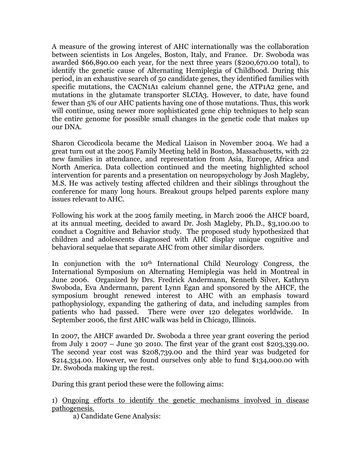A measure of the growing interest of AHC internationally was the collaboration between scientists in Los Angeles, Boston, Italy, and France. Dr. Swoboda was awarded \$66,890.00 each year, for the next three years (\$200,670.00 total), to identify the genetic cause of Alternating Hemiplegia of Childhood. During this period, in an exhaustive search of 50 candidate genes, they identified families with specific mutations, the CACN1A1 calcium channel gene, the ATP1A2 gene, and mutations in the glutamate transporter SLCIA3. However, to date, have found fewer than 5% of our AHC patients having one of those mutations. Thus, this work will continue, using newer more sophisticated gene chip techniques to help scan the entire genome for possible small changes in the genetic code that makes up our DNA.

Sharon Ciccodicola became the Medical Liaison in November 2004. We had a great turn out at the 2005 Family Meeting held in Boston, Massachusetts, with 22 new families in attendance, and representation from Asia, Europe, Africa and North America. Data collection continued and the meeting highlighted school intervention for parents and a presentation on neuropsychology by Josh Magleby, M.S. He was actively testing affected children and their siblings throughout the conference for many long hours. Breakout groups helped parents explore many issues relevant to AHC.

Following his work at the 2005 family meeting, in March 2006 the AHCF board, at its annual meeting, decided to award Dr. Josh Magleby, Ph.D., \$3,100.00 to conduct a Cognitive and Behavior study. The proposed study hypothesized that children and adolescents diagnosed with AHC display unique cognitive and behavioral sequelae that separate AHC from other similar disorders.

In conjunction with the 10th International Child Neurology Congress, the International Symposium on Alternating Hemiplegia was held in Montreal in June 2006. Organized by Drs. Fredrick Andermann, Kenneth Silver, Kathryn Swoboda, Eva Andermann, parent Lynn Egan and sponsored by the AHCF, the symposium brought renewed interest to AHC with an emphasis toward pathophysiology, expanding the gathering of data, and including samples from patients who had passed. There were over 120 delegates worldwide. In September 2006, the first AHC walk was held in Chicago, Illinois.

In 2007, the AHCF awarded Dr. Swoboda a three year grant covering the period from July 1 2007 – June 30 2010. The first year of the grant cost \$203,339.00. The second year cost was \$208,739.00 and the third year was budgeted for \$214,334.00. However, we found ourselves only able to fund \$134,000.00 with Dr. Swoboda making up the rest.

During this grant period these were the following aims:

1) Ongoing efforts to identify the genetic mechanisms involved in disease pathogenesis.

a) Candidate Gene Analysis: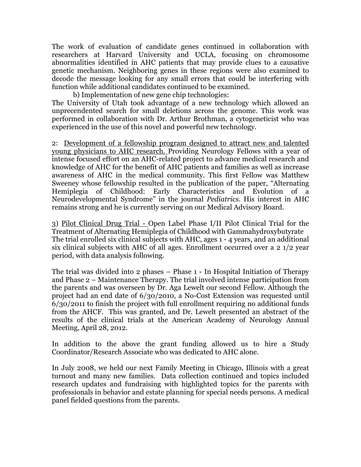The work of evaluation of candidate genes continued in collaboration with researchers at Harvard University and UCLA, focusing on chromosome abnormalities identified in AHC patients that may provide clues to a causative genetic mechanism. Neighboring genes in these regions were also examined to decode the message looking for any small errors that could be interfering with function while additional candidates continued to be examined.

b) Implementation of new gene chip technologies:

The University of Utah took advantage of a new technology which allowed an unprecendented search for small deletions across the genome. This work was performed in collaboration with Dr. Arthur Brothman, a cytogeneticist who was experienced in the use of this novel and powerful new technology.

2: Development of a fellowship program designed to attract new and talented young physicians to AHC research. Providing Neurology Fellows with a year of intense focused effort on an AHC-related project to advance medical research and knowledge of AHC for the benefit of AHC patients and families as well as increase awareness of AHC in the medical community. This first Fellow was Matthew Sweeney whose fellowship resulted in the publication of the paper, "Alternating Hemiplegia of Childhood: Early Characteristics and Evolution of a Neurodevelopmental Syndrome" in the journal *Pediatrics*. His interest in AHC remains strong and he is currently serving on our Medical Advisory Board.

3) Pilot Clinical Drug Trial - Open Label Phase I/II Pilot Clinical Trial for the Treatment of Alternating Hemiplegia of Childhood with Gammahydroxybutyrate The trial enrolled six clinical subjects with AHC, ages 1 - 4 years, and an additional six clinical subjects with AHC of all ages. Enrollment occurred over a 2 1/2 year period, with data analysis following.

The trial was divided into 2 phases – Phase 1 - In Hospital Initiation of Therapy and Phase 2 – Maintenance Therapy. The trial involved intense participation from the parents and was overseen by Dr. Aga Lewelt our second Fellow. Although the project had an end date of 6/30/2010, a No-Cost Extension was requested until 6/30/2011 to finish the project with full enrollment requiring no additional funds from the AHCF. This was granted, and Dr. Lewelt presented an abstract of the results of the clinical trials at the American Academy of Neurology Annual Meeting, April 28, 2012.

In addition to the above the grant funding allowed us to hire a Study Coordinator/Research Associate who was dedicated to AHC alone.

In July 2008, we held our next Family Meeting in Chicago, Illinois with a great turnout and many new families. Data collection continued and topics included research updates and fundraising with highlighted topics for the parents with professionals in behavior and estate planning for special needs persons. A medical panel fielded questions from the parents.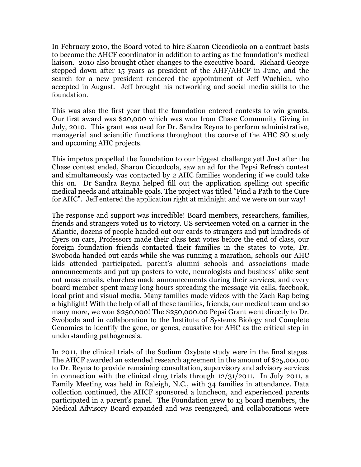In February 2010, the Board voted to hire Sharon Ciccodicola on a contract basis to become the AHCF coordinator in addition to acting as the foundation's medical liaison. 2010 also brought other changes to the executive board. Richard George stepped down after 15 years as president of the AHF/AHCF in June, and the search for a new president rendered the appointment of Jeff Wuchich, who accepted in August. Jeff brought his networking and social media skills to the foundation.

This was also the first year that the foundation entered contests to win grants. Our first award was \$20,000 which was won from Chase Community Giving in July, 2010. This grant was used for Dr. Sandra Reyna to perform administrative, managerial and scientific functions throughout the course of the AHC SO study and upcoming AHC projects.

This impetus propelled the foundation to our biggest challenge yet! Just after the Chase contest ended, Sharon Ciccodcola, saw an ad for the Pepsi Refresh contest and simultaneously was contacted by 2 AHC families wondering if we could take this on. Dr Sandra Reyna helped fill out the application spelling out specific medical needs and attainable goals. The project was titled "Find a Path to the Cure for AHC". Jeff entered the application right at midnight and we were on our way!

The response and support was incredible! Board members, researchers, families, friends and strangers voted us to victory. US servicemen voted on a carrier in the Atlantic, dozens of people handed out our cards to strangers and put hundreds of flyers on cars, Professors made their class text votes before the end of class, our foreign foundation friends contacted their families in the states to vote, Dr. Swoboda handed out cards while she was running a marathon, schools our AHC kids attended participated, parent's alumni schools and associations made announcements and put up posters to vote, neurologists and business' alike sent out mass emails, churches made announcements during their services, and every board member spent many long hours spreading the message via calls, facebook, local print and visual media. Many families made videos with the Zach Rap being a highlight! With the help of all of these families, friends, our medical team and so many more, we won \$250,000! The \$250,000.00 Pepsi Grant went directly to Dr. Swoboda and in collaboration to the Institute of Systems Biology and Complete Genomics to identify the gene, or genes, causative for AHC as the critical step in understanding pathogenesis.

In 2011, the clinical trials of the Sodium Oxybate study were in the final stages. The AHCF awarded an extended research agreement in the amount of \$25,000.00 to Dr. Reyna to provide remaining consultation, supervisory and advisory services in connection with the clinical drug trials through 12/31/2011. In July 2011, a Family Meeting was held in Raleigh, N.C., with 34 families in attendance. Data collection continued, the AHCF sponsored a luncheon, and experienced parents participated in a parent's panel. The Foundation grew to 13 board members, the Medical Advisory Board expanded and was reengaged, and collaborations were